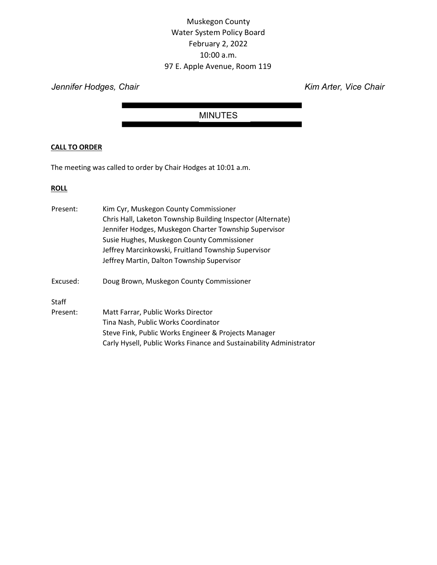# Muskegon County Water System Policy Board February 2, 2022 10:00 a.m. 97 E. Apple Avenue, Room 119

Jennifer Hodges, Chair **Kim Arter, Vice Chair** Kim Arter, Vice Chair

## MINUTES

## CALL TO ORDER

The meeting was called to order by Chair Hodges at 10:01 a.m.

## **ROLL**

| Present: | Kim Cyr, Muskegon County Commissioner                               |
|----------|---------------------------------------------------------------------|
|          | Chris Hall, Laketon Township Building Inspector (Alternate)         |
|          | Jennifer Hodges, Muskegon Charter Township Supervisor               |
|          | Susie Hughes, Muskegon County Commissioner                          |
|          | Jeffrey Marcinkowski, Fruitland Township Supervisor                 |
|          | Jeffrey Martin, Dalton Township Supervisor                          |
| Excused: | Doug Brown, Muskegon County Commissioner                            |
| Staff    |                                                                     |
| Present: | Matt Farrar, Public Works Director                                  |
|          | Tina Nash, Public Works Coordinator                                 |
|          | Steve Fink, Public Works Engineer & Projects Manager                |
|          | Carly Hysell, Public Works Finance and Sustainability Administrator |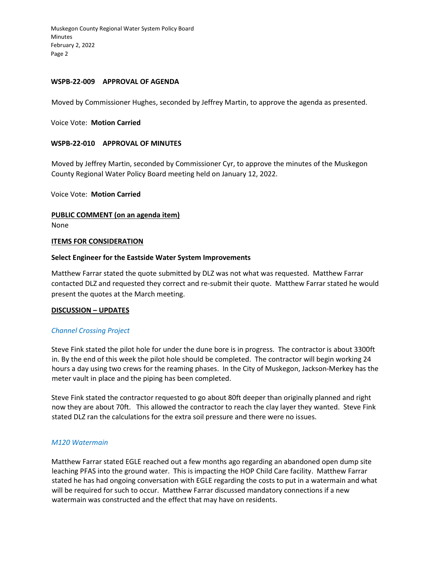Muskegon County Regional Water System Policy Board Minutes February 2, 2022 Page 2

#### WSPB-22-009 APPROVAL OF AGENDA

Moved by Commissioner Hughes, seconded by Jeffrey Martin, to approve the agenda as presented.

Voice Vote: Motion Carried

## WSPB-22-010 APPROVAL OF MINUTES

Moved by Jeffrey Martin, seconded by Commissioner Cyr, to approve the minutes of the Muskegon County Regional Water Policy Board meeting held on January 12, 2022.

Voice Vote: Motion Carried

PUBLIC COMMENT (on an agenda item)

None

## **ITEMS FOR CONSIDERATION**

## Select Engineer for the Eastside Water System Improvements

Matthew Farrar stated the quote submitted by DLZ was not what was requested. Matthew Farrar contacted DLZ and requested they correct and re-submit their quote. Matthew Farrar stated he would present the quotes at the March meeting.

#### DISCUSSION – UPDATES

#### Channel Crossing Project

Steve Fink stated the pilot hole for under the dune bore is in progress. The contractor is about 3300ft in. By the end of this week the pilot hole should be completed. The contractor will begin working 24 hours a day using two crews for the reaming phases. In the City of Muskegon, Jackson-Merkey has the meter vault in place and the piping has been completed.

Steve Fink stated the contractor requested to go about 80ft deeper than originally planned and right now they are about 70ft. This allowed the contractor to reach the clay layer they wanted. Steve Fink stated DLZ ran the calculations for the extra soil pressure and there were no issues.

#### M120 Watermain

Matthew Farrar stated EGLE reached out a few months ago regarding an abandoned open dump site leaching PFAS into the ground water. This is impacting the HOP Child Care facility. Matthew Farrar stated he has had ongoing conversation with EGLE regarding the costs to put in a watermain and what will be required for such to occur. Matthew Farrar discussed mandatory connections if a new watermain was constructed and the effect that may have on residents.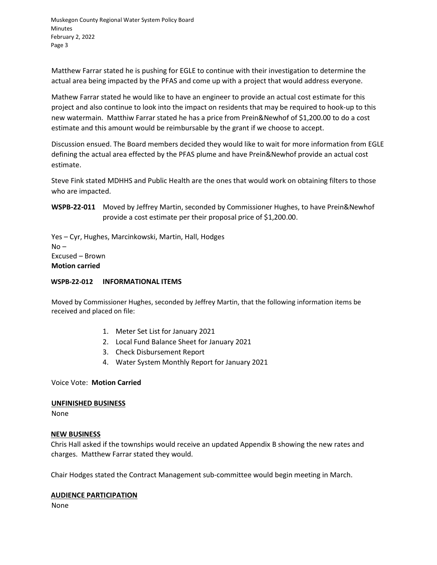Muskegon County Regional Water System Policy Board Minutes February 2, 2022 Page 3

Matthew Farrar stated he is pushing for EGLE to continue with their investigation to determine the actual area being impacted by the PFAS and come up with a project that would address everyone.

Mathew Farrar stated he would like to have an engineer to provide an actual cost estimate for this project and also continue to look into the impact on residents that may be required to hook-up to this new watermain. Matthiw Farrar stated he has a price from Prein&Newhof of \$1,200.00 to do a cost estimate and this amount would be reimbursable by the grant if we choose to accept.

Discussion ensued. The Board members decided they would like to wait for more information from EGLE defining the actual area effected by the PFAS plume and have Prein&Newhof provide an actual cost estimate.

Steve Fink stated MDHHS and Public Health are the ones that would work on obtaining filters to those who are impacted.

WSPB-22-011 Moved by Jeffrey Martin, seconded by Commissioner Hughes, to have Prein&Newhof provide a cost estimate per their proposal price of \$1,200.00.

Yes – Cyr, Hughes, Marcinkowski, Martin, Hall, Hodges  $No -$ Excused – Brown Motion carried

## WSPB-22-012 INFORMATIONAL ITEMS

Moved by Commissioner Hughes, seconded by Jeffrey Martin, that the following information items be received and placed on file:

- 1. Meter Set List for January 2021
- 2. Local Fund Balance Sheet for January 2021
- 3. Check Disbursement Report
- 4. Water System Monthly Report for January 2021

Voice Vote: Motion Carried

## UNFINISHED BUSINESS

None

## NEW BUSINESS

Chris Hall asked if the townships would receive an updated Appendix B showing the new rates and charges. Matthew Farrar stated they would.

Chair Hodges stated the Contract Management sub-committee would begin meeting in March.

## AUDIENCE PARTICIPATION

None